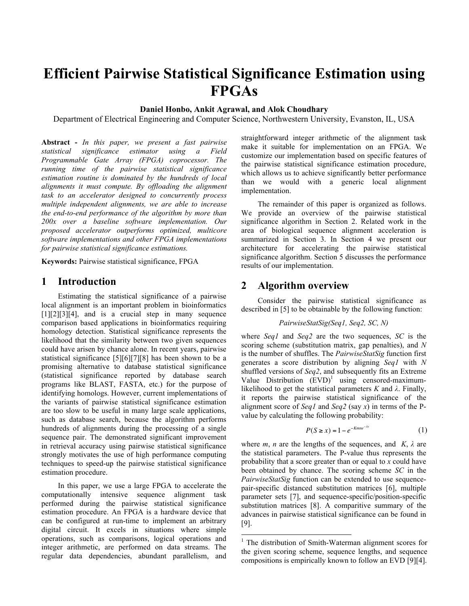# **Efficient Pairwise Statistical Significance Estimation using FPGAs**

## **Daniel Honbo, Ankit Agrawal, and Alok Choudhary**

Department of Electrical Engineering and Computer Science, Northwestern University, Evanston, IL, USA

**Abstract -** *In this paper, we present a fast pairwise statistical significance estimator using a Field Programmable Gate Array (FPGA) coprocessor. The running time of the pairwise statistical significance estimation routine is dominated by the hundreds of local alignments it must compute. By offloading the alignment task to an accelerator designed to concurrently process multiple independent alignments, we are able to increase the end-to-end performance of the algorithm by more than 200x over a baseline software implementation. Our proposed accelerator outperforms optimized, multicore software implementations and other FPGA implementations for pairwise statistical significance estimations.*

**Keywords:** Pairwise statistical significance, FPGA

## **1 Introduction**

Estimating the statistical significance of a pairwise local alignment is an important problem in bioinformatics  $[1][2][3][4]$ , and is a crucial step in many sequence comparison based applications in bioinformatics requiring homology detection. Statistical significance represents the likelihood that the similarity between two given sequences could have arisen by chance alone. In recent years, pairwise statistical significance [5][6][7][8] has been shown to be a promising alternative to database statistical significance (statistical significance reported by database search programs like BLAST, FASTA, etc.) for the purpose of identifying homologs. However, current implementations of the variants of pairwise statistical significance estimation are too slow to be useful in many large scale applications, such as database search, because the algorithm performs hundreds of alignments during the processing of a single sequence pair. The demonstrated significant improvement in retrieval accuracy using pairwise statistical significance strongly motivates the use of high performance computing techniques to speed-up the pairwise statistical significance estimation procedure.

In this paper, we use a large FPGA to accelerate the computationally intensive sequence alignment task performed during the pairwise statistical significance estimation procedure. An FPGA is a hardware device that can be configured at run-time to implement an arbitrary digital circuit. It excels in situations where simple operations, such as comparisons, logical operations and integer arithmetic, are performed on data streams. The regular data dependencies, abundant parallelism, and straightforward integer arithmetic of the alignment task make it suitable for implementation on an FPGA. We customize our implementation based on specific features of the pairwise statistical significance estimation procedure, which allows us to achieve significantly better performance than we would with a generic local alignment implementation.

The remainder of this paper is organized as follows. We provide an overview of the pairwise statistical significance algorithm in Section 2. Related work in the area of biological sequence alignment acceleration is summarized in Section 3. In Section 4 we present our architecture for accelerating the pairwise statistical significance algorithm. Section 5 discusses the performance results of our implementation.

## **2 Algorithm overview**

Consider the pairwise statistical significance as described in [5] to be obtainable by the following function:

*PairwiseStatSig(Seq1, Seq2, SC, N)*

where *Seq1* and *Seq2* are the two sequences, *SC* is the scoring scheme (substitution matrix, gap penalties), and *N* is the number of shuffles. The *PairwiseStatSig* function first generates a score distribution by aligning *Seq1* with *N* shuffled versions of *Seq2*, and subsequently fits an Extreme Value Distribution  $(EVD)^1$  using censored-maximumlikelihood to get the statistical parameters  $K$  and  $\lambda$ . Finally, it reports the pairwise statistical significance of the alignment score of *Seq1* and *Seq2* (say *x*) in terms of the Pvalue by calculating the following probability:

$$
P(S \ge x) = 1 - e^{-Kmne^{-\lambda x}} \tag{1}
$$

! probability that a score greater than or equal to *x* could have where *m*, *n* are the lengths of the sequences, and  $K$ ,  $\lambda$  are the statistical parameters. The P-value thus represents the been obtained by chance. The scoring scheme *SC* in the *PairwiseStatSig* function can be extended to use sequencepair-specific distanced substitution matrices [6], multiple parameter sets [7], and sequence-specific/position-specific substitution matrices [8]. A comparitive summary of the advances in pairwise statistical significance can be found in [9].

 $\frac{1}{1}$  $1$  The distribution of Smith-Waterman alignment scores for the given scoring scheme, sequence lengths, and sequence compositions is empirically known to follow an EVD [9][4].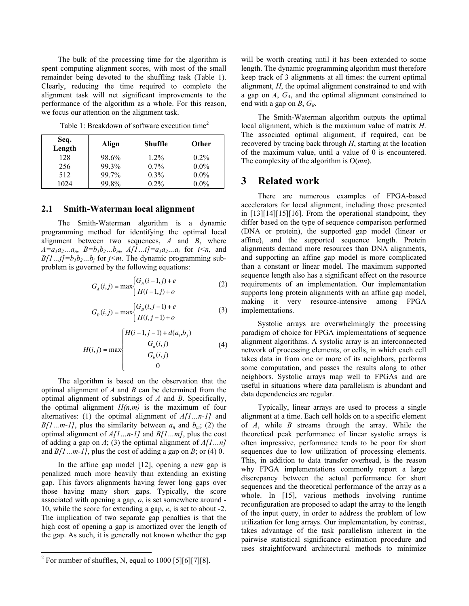The bulk of the processing time for the algorithm is spent computing alignment scores, with most of the small remainder being devoted to the shuffling task (Table 1). Clearly, reducing the time required to complete the alignment task will net significant improvements to the performance of the algorithm as a whole. For this reason, we focus our attention on the alignment task.

Table 1: Breakdown of software execution time<sup>2</sup>

| Seq.<br>Length | Align | <b>Shuffle</b> | Other   |
|----------------|-------|----------------|---------|
| 128            | 98.6% | $1.2\%$        | $0.2\%$ |
| 256            | 99.3% | $0.7\%$        | $0.0\%$ |
| 512            | 99.7% | $0.3\%$        | $0.0\%$ |
| 1024           | 99.8% | $0.2\%$        | $0.0\%$ |

#### **2.1 Smith-Waterman local alignment**

The Smith-Waterman algorithm is a dynamic programming method for identifying the optimal local alignment between two sequences, *A* and *B*, where  $A=a_1a_2...a_n$ ,  $B=b_1b_2...b_m$ ,  $A/I...i]=a_1a_2...a_i$  for  $i \le n$ , and  $B[1...j]=b_1b_2...b_j$  for  $j\leq m$ . The dynamic programming subproblem is governed by the following equations:

$$
G_A(i,j) = \max \begin{cases} G_A(i-1,j) + e \\ H(i-1,j) + o \end{cases}
$$
 (2)

$$
G_B(i,j) = \max \begin{cases} G_B(i,j-1) + e \\ H(i,j-1) + o \end{cases}
$$
 (3)

$$
H(i,j) = \max \begin{cases} H(i-1,j-1) + d(a_i, b_j) \\ G_a(i,j) \\ G_b(i,j) \\ 0 \end{cases}
$$
 (4)

! optimal alignment of substrings of *A* and *B*. Specifically, The algorithm is based on the observation that the optimal alignment of *A* and *B* can be determined from the the optimal alignment  $H(n,m)$  is the maximum of four alternatives: (1) the optimal alignment of *A[1…n-1]* and  $B[1...m-1]$ , plus the similarity between  $a_n$  and  $b_m$ ; (2) the optimal alignment of *A[1…n-1]* and *B[1…m]*, plus the cost of adding a gap on *A*; (3) the optimal alignment of *A[1…n]* and *B[1…m-1]*, plus the cost of adding a gap on *B*; or (4) 0.

In the affine gap model [12], opening a new gap is penalized much more heavily than extending an existing gap. This favors alignments having fewer long gaps over those having many short gaps. Typically, the score associated with opening a gap, *o*, is set somewhere around - 10, while the score for extending a gap, *e*, is set to about -2. The implication of two separate gap penalties is that the high cost of opening a gap is amortized over the length of the gap. As such, it is generally not known whether the gap will be worth creating until it has been extended to some length. The dynamic programming algorithm must therefore keep track of 3 alignments at all times: the current optimal alignment, *H*, the optimal alignment constrained to end with a gap on *A*, *GA*, and the optimal alignment constrained to end with a gap on  $B$ ,  $G_B$ .

The Smith-Waterman algorithm outputs the optimal local alignment, which is the maximum value of matrix *H*. The associated optimal alignment, if required, can be recovered by tracing back through *H*, starting at the location of the maximum value, until a value of 0 is encountered. The complexity of the algorithm is O(*mn*).

## **3 Related work**

There are numerous examples of FPGA-based accelerators for local alignment, including those presented in [13][14][15][16]. From the operational standpoint, they differ based on the type of sequence comparison performed (DNA or protein), the supported gap model (linear or affine), and the supported sequence length. Protein alignments demand more resources than DNA alignments, and supporting an affine gap model is more complicated than a constant or linear model. The maximum supported sequence length also has a significant effect on the resource requirements of an implementation. Our implementation supports long protein alignments with an affine gap model, making it very resource-intensive among FPGA implementations.

Systolic arrays are overwhelmingly the processing paradigm of choice for FPGA implementations of sequence alignment algorithms. A systolic array is an interconnected network of processing elements, or cells, in which each cell takes data in from one or more of its neighbors, performs some computation, and passes the results along to other neighbors. Systolic arrays map well to FPGAs and are useful in situations where data parallelism is abundant and data dependencies are regular.

Typically, linear arrays are used to process a single alignment at a time. Each cell holds on to a specific element of *A*, while *B* streams through the array. While the theoretical peak performance of linear systolic arrays is often impressive, performance tends to be poor for short sequences due to low utilization of processing elements. This, in addition to data transfer overhead, is the reason why FPGA implementations commonly report a large discrepancy between the actual performance for short sequences and the theoretical performance of the array as a whole. In [15], various methods involving runtime reconfiguration are proposed to adapt the array to the length of the input query, in order to address the problem of low utilization for long arrays. Our implementation, by contrast, takes advantage of the task parallelism inherent in the pairwise statistical significance estimation procedure and uses straightforward architectural methods to minimize

<sup>&</sup>lt;sup>2</sup>  $\frac{1}{2}$  For number of shuffles, N, equal to 1000 [5][6][7][8].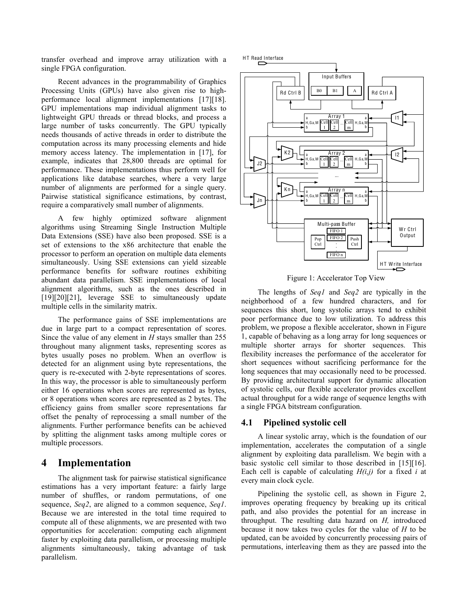transfer overhead and improve array utilization with a single FPGA configuration.

Recent advances in the programmability of Graphics Processing Units (GPUs) have also given rise to highperformance local alignment implementations [17][18]. GPU implementations map individual alignment tasks to lightweight GPU threads or thread blocks, and process a large number of tasks concurrently. The GPU typically needs thousands of active threads in order to distribute the computation across its many processing elements and hide memory access latency. The implementation in [17], for example, indicates that 28,800 threads are optimal for performance. These implementations thus perform well for applications like database searches, where a very large number of alignments are performed for a single query. Pairwise statistical significance estimations, by contrast, require a comparatively small number of alignments.

A few highly optimized software alignment algorithms using Streaming Single Instruction Multiple Data Extensions (SSE) have also been proposed. SSE is a set of extensions to the x86 architecture that enable the processor to perform an operation on multiple data elements simultaneously. Using SSE extensions can yield sizeable performance benefits for software routines exhibiting abundant data parallelism. SSE implementations of local alignment algorithms, such as the ones described in [19][20][21], leverage SSE to simultaneously update multiple cells in the similarity matrix.

The performance gains of SSE implementations are due in large part to a compact representation of scores. Since the value of any element in *H* stays smaller than 255 throughout many alignment tasks, representing scores as bytes usually poses no problem. When an overflow is detected for an alignment using byte representations, the query is re-executed with 2-byte representations of scores. In this way, the processor is able to simultaneously perform either 16 operations when scores are represented as bytes, or 8 operations when scores are represented as 2 bytes. The efficiency gains from smaller score representations far offset the penalty of reprocessing a small number of the alignments. Further performance benefits can be achieved by splitting the alignment tasks among multiple cores or multiple processors.

## **4 Implementation**

The alignment task for pairwise statistical significance estimations has a very important feature: a fairly large number of shuffles, or random permutations, of one sequence, *Seq2*, are aligned to a common sequence, *Seq1*. Because we are interested in the total time required to compute all of these alignments, we are presented with two opportunities for acceleration: computing each alignment faster by exploiting data parallelism, or processing multiple alignments simultaneously, taking advantage of task parallelism.





Figure 1: Accelerator Top View

The lengths of *Seq1* and *Seq2* are typically in the neighborhood of a few hundred characters, and for sequences this short, long systolic arrays tend to exhibit poor performance due to low utilization. To address this problem, we propose a flexible accelerator, shown in Figure 1, capable of behaving as a long array for long sequences or multiple shorter arrays for shorter sequences. This flexibility increases the performance of the accelerator for short sequences without sacrificing performance for the long sequences that may occasionally need to be processed. By providing architectural support for dynamic allocation of systolic cells, our flexible accelerator provides excellent actual throughput for a wide range of sequence lengths with a single FPGA bitstream configuration.

#### **4.1 Pipelined systolic cell**

A linear systolic array, which is the foundation of our implementation, accelerates the computation of a single alignment by exploiting data parallelism. We begin with a basic systolic cell similar to those described in [15][16]. Each cell is capable of calculating  $H(i,j)$  for a fixed *i* at every main clock cycle.

Pipelining the systolic cell, as shown in Figure 2, improves operating frequency by breaking up its critical path, and also provides the potential for an increase in throughput. The resulting data hazard on *H,* introduced because it now takes two cycles for the value of *H* to be updated, can be avoided by concurrently processing pairs of permutations, interleaving them as they are passed into the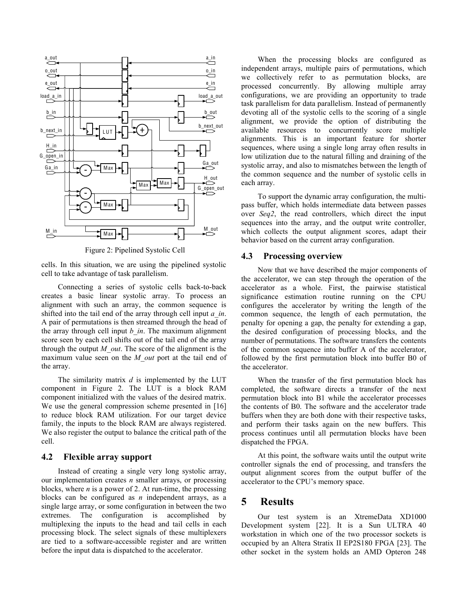

Figure 2: Pipelined Systolic Cell

cells. In this situation, we are using the pipelined systolic cell to take advantage of task parallelism.

Connecting a series of systolic cells back-to-back creates a basic linear systolic array. To process an alignment with such an array, the common sequence is shifted into the tail end of the array through cell input *a\_in*. A pair of permutations is then streamed through the head of the array through cell input *b\_in*. The maximum alignment score seen by each cell shifts out of the tail end of the array through the output  $M$  out. The score of the alignment is the maximum value seen on the *M\_out* port at the tail end of the array.

The similarity matrix *d* is implemented by the LUT component in Figure 2. The LUT is a block RAM component initialized with the values of the desired matrix. We use the general compression scheme presented in [16] to reduce block RAM utilization. For our target device family, the inputs to the block RAM are always registered. We also register the output to balance the critical path of the cell.

## **4.2 Flexible array support**

Instead of creating a single very long systolic array, our implementation creates *n* smaller arrays, or processing blocks, where *n* is a power of 2. At run-time, the processing blocks can be configured as *n* independent arrays, as a single large array, or some configuration in between the two extremes. The configuration is accomplished by multiplexing the inputs to the head and tail cells in each processing block. The select signals of these multiplexers are tied to a software-accessible register and are written before the input data is dispatched to the accelerator.

When the processing blocks are configured as independent arrays, multiple pairs of permutations, which we collectively refer to as permutation blocks, are processed concurrently. By allowing multiple array configurations, we are providing an opportunity to trade task parallelism for data parallelism. Instead of permanently devoting all of the systolic cells to the scoring of a single alignment, we provide the option of distributing the available resources to concurrently score multiple alignments. This is an important feature for shorter sequences, where using a single long array often results in low utilization due to the natural filling and draining of the systolic array, and also to mismatches between the length of the common sequence and the number of systolic cells in each array.

To support the dynamic array configuration, the multipass buffer, which holds intermediate data between passes over *Seq2*, the read controllers, which direct the input sequences into the array, and the output write controller, which collects the output alignment scores, adapt their behavior based on the current array configuration.

#### **4.3 Processing overview**

Now that we have described the major components of the accelerator, we can step through the operation of the accelerator as a whole. First, the pairwise statistical significance estimation routine running on the CPU configures the accelerator by writing the length of the common sequence, the length of each permutation, the penalty for opening a gap, the penalty for extending a gap, the desired configuration of processing blocks, and the number of permutations. The software transfers the contents of the common sequence into buffer A of the accelerator, followed by the first permutation block into buffer B0 of the accelerator.

When the transfer of the first permutation block has completed, the software directs a transfer of the next permutation block into B1 while the accelerator processes the contents of B0. The software and the accelerator trade buffers when they are both done with their respective tasks, and perform their tasks again on the new buffers. This process continues until all permutation blocks have been dispatched the FPGA.

At this point, the software waits until the output write controller signals the end of processing, and transfers the output alignment scores from the output buffer of the accelerator to the CPU's memory space.

# **5 Results**

Our test system is an XtremeData XD1000 Development system [22]. It is a Sun ULTRA 40 workstation in which one of the two processor sockets is occupied by an Altera Stratix II EP2S180 FPGA [23]. The other socket in the system holds an AMD Opteron 248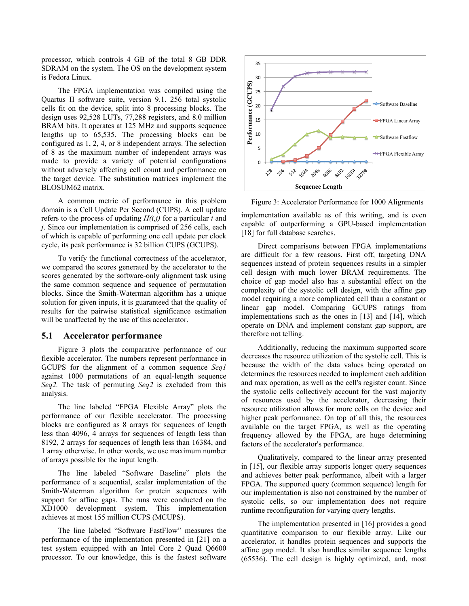processor, which controls 4 GB of the total 8 GB DDR SDRAM on the system. The OS on the development system is Fedora Linux.

The FPGA implementation was compiled using the Quartus II software suite, version 9.1. 256 total systolic cells fit on the device, split into 8 processing blocks. The design uses 92,528 LUTs, 77,288 registers, and 8.0 million BRAM bits. It operates at 125 MHz and supports sequence lengths up to 65,535. The processing blocks can be configured as 1, 2, 4, or 8 independent arrays. The selection of 8 as the maximum number of independent arrays was made to provide a variety of potential configurations without adversely affecting cell count and performance on the target device. The substitution matrices implement the BLOSUM62 matrix.

A common metric of performance in this problem domain is a Cell Update Per Second (CUPS). A cell update refers to the process of updating *H(i,j)* for a particular *i* and *j*. Since our implementation is comprised of 256 cells, each of which is capable of performing one cell update per clock cycle, its peak performance is 32 billion CUPS (GCUPS).

To verify the functional correctness of the accelerator, we compared the scores generated by the accelerator to the scores generated by the software-only alignment task using the same common sequence and sequence of permutation blocks. Since the Smith-Waterman algorithm has a unique solution for given inputs, it is guaranteed that the quality of results for the pairwise statistical significance estimation will be unaffected by the use of this accelerator.

#### **5.1 Accelerator performance**

Figure 3 plots the comparative performance of our flexible accelerator. The numbers represent performance in GCUPS for the alignment of a common sequence *Seq1*  against 1000 permutations of an equal-length sequence *Seq2.* The task of permuting *Seq2* is excluded from this analysis.

The line labeled "FPGA Flexible Array" plots the performance of our flexible accelerator. The processing blocks are configured as 8 arrays for sequences of length less than 4096, 4 arrays for sequences of length less than 8192, 2 arrays for sequences of length less than 16384, and 1 array otherwise. In other words, we use maximum number of arrays possible for the input length.

The line labeled "Software Baseline" plots the performance of a sequential, scalar implementation of the Smith-Waterman algorithm for protein sequences with support for affine gaps. The runs were conducted on the XD1000 development system. This implementation achieves at most 155 million CUPS (MCUPS).

The line labeled "Software FastFlow" measures the performance of the implementation presented in [21] on a test system equipped with an Intel Core 2 Quad Q6600 processor. To our knowledge, this is the fastest software



Figure 3: Accelerator Performance for 1000 Alignments

implementation available as of this writing, and is even capable of outperforming a GPU-based implementation [18] for full database searches.

Direct comparisons between FPGA implementations are difficult for a few reasons. First off, targeting DNA sequences instead of protein sequences results in a simpler cell design with much lower BRAM requirements. The choice of gap model also has a substantial effect on the complexity of the systolic cell design, with the affine gap model requiring a more complicated cell than a constant or linear gap model. Comparing GCUPS ratings from implementations such as the ones in [13] and [14], which operate on DNA and implement constant gap support, are therefore not telling.

Additionally, reducing the maximum supported score decreases the resource utilization of the systolic cell. This is because the width of the data values being operated on determines the resources needed to implement each addition and max operation, as well as the cell's register count. Since the systolic cells collectively account for the vast majority of resources used by the accelerator, decreasing their resource utilization allows for more cells on the device and higher peak performance. On top of all this, the resources available on the target FPGA, as well as the operating frequency allowed by the FPGA, are huge determining factors of the accelerator's performance.

Qualitatively, compared to the linear array presented in [15], our flexible array supports longer query sequences and achieves better peak performance, albeit with a larger FPGA. The supported query (common sequence) length for our implementation is also not constrained by the number of systolic cells, so our implementation does not require runtime reconfiguration for varying query lengths.

The implementation presented in [16] provides a good quantitative comparison to our flexible array. Like our accelerator, it handles protein sequences and supports the affine gap model. It also handles similar sequence lengths (65536). The cell design is highly optimized, and, most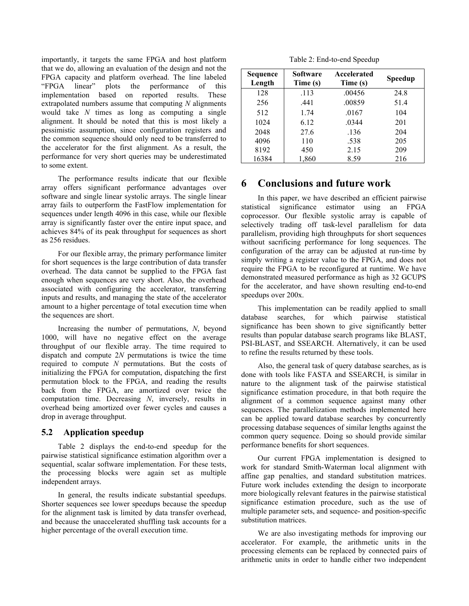importantly, it targets the same FPGA and host platform that we do, allowing an evaluation of the design and not the FPGA capacity and platform overhead. The line labeled "FPGA linear" plots the performance of this implementation based on reported results. These extrapolated numbers assume that computing *N* alignments would take *N* times as long as computing a single alignment. It should be noted that this is most likely a pessimistic assumption, since configuration registers and the common sequence should only need to be transferred to the accelerator for the first alignment. As a result, the performance for very short queries may be underestimated to some extent.

The performance results indicate that our flexible array offers significant performance advantages over software and single linear systolic arrays. The single linear array fails to outperform the FastFlow implementation for sequences under length 4096 in this case, while our flexible array is significantly faster over the entire input space, and achieves 84% of its peak throughput for sequences as short as 256 residues.

For our flexible array, the primary performance limiter for short sequences is the large contribution of data transfer overhead. The data cannot be supplied to the FPGA fast enough when sequences are very short. Also, the overhead associated with configuring the accelerator, transferring inputs and results, and managing the state of the accelerator amount to a higher percentage of total execution time when the sequences are short.

Increasing the number of permutations, *N*, beyond 1000, will have no negative effect on the average throughput of our flexible array. The time required to dispatch and compute 2*N* permutations is twice the time required to compute *N* permutations. But the costs of initializing the FPGA for computation, dispatching the first permutation block to the FPGA, and reading the results back from the FPGA, are amortized over twice the computation time. Decreasing *N*, inversely, results in overhead being amortized over fewer cycles and causes a drop in average throughput.

## **5.2 Application speedup**

Table 2 displays the end-to-end speedup for the pairwise statistical significance estimation algorithm over a sequential, scalar software implementation. For these tests, the processing blocks were again set as multiple independent arrays.

In general, the results indicate substantial speedups. Shorter sequences see lower speedups because the speedup for the alignment task is limited by data transfer overhead, and because the unaccelerated shuffling task accounts for a higher percentage of the overall execution time.

Table 2: End-to-end Speedup

| Sequence<br>Length | Software<br>Time (s) | Accelerated<br>Time (s) | Speedup |
|--------------------|----------------------|-------------------------|---------|
| 128                | .113                 | .00456                  | 24.8    |
| 256                | .441                 | .00859                  | 51.4    |
| 512                | 1.74                 | .0167                   | 104     |
| 1024               | 6.12                 | .0344                   | 201     |
| 2048               | 27.6                 | .136                    | 204     |
| 4096               | 110                  | .538                    | 205     |
| 8192               | 450                  | 2.15                    | 209     |
| 16384              | 1,860                | 8.59                    | 216     |

# **6 Conclusions and future work**

In this paper, we have described an efficient pairwise statistical significance estimator using an FPGA coprocessor. Our flexible systolic array is capable of selectively trading off task-level parallelism for data parallelism, providing high throughputs for short sequences without sacrificing performance for long sequences. The configuration of the array can be adjusted at run-time by simply writing a register value to the FPGA, and does not require the FPGA to be reconfigured at runtime. We have demonstrated measured performance as high as 32 GCUPS for the accelerator, and have shown resulting end-to-end speedups over 200x.

This implementation can be readily applied to small database searches, for which pairwise statistical significance has been shown to give significantly better results than popular database search programs like BLAST, PSI-BLAST, and SSEARCH. Alternatively, it can be used to refine the results returned by these tools.

Also, the general task of query database searches, as is done with tools like FASTA and SSEARCH, is similar in nature to the alignment task of the pairwise statistical significance estimation procedure, in that both require the alignment of a common sequence against many other sequences. The parallelization methods implemented here can be applied toward database searches by concurrently processing database sequences of similar lengths against the common query sequence. Doing so should provide similar performance benefits for short sequences.

Our current FPGA implementation is designed to work for standard Smith-Waterman local alignment with affine gap penalties, and standard substitution matrices. Future work includes extending the design to incorporate more biologically relevant features in the pairwise statistical significance estimation procedure, such as the use of multiple parameter sets, and sequence- and position-specific substitution matrices.

We are also investigating methods for improving our accelerator. For example, the arithmetic units in the processing elements can be replaced by connected pairs of arithmetic units in order to handle either two independent